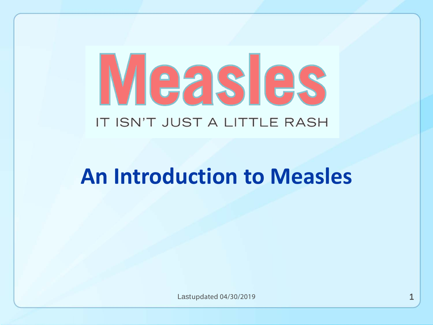# Measles IT ISN'T JUST A LITTLE RASH

# **An Introduction to Measles**

Last updated 04/30/2019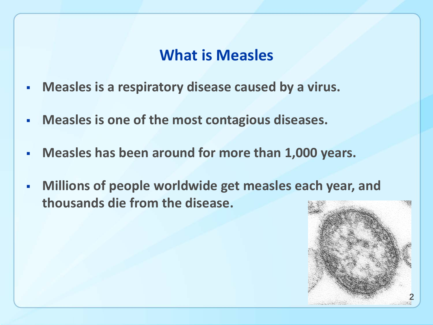#### **What is Measles**

- **Measles is a respiratory disease caused by a virus.**
- **Measles is one of the most contagious diseases.**
- **Measles has been around for more than 1,000 years.**
- **Millions of people worldwide get measles each year, and thousands die from the disease.**

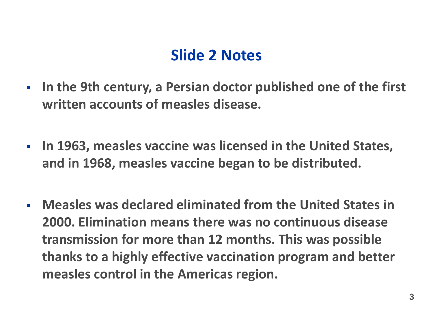#### **Slide 2 Notes**

- **In the 9th century, a Persian doctor published one of the first written accounts of measles disease.**
- **In 1963, measles vaccine was licensed in the United States, and in 1968, measles vaccine began to be distributed.**
- **Measles was declared eliminated from the United States in 2000. Elimination means there was no continuous disease transmission for more than 12 months. This was possible thanks to a highly effective vaccination program and better measles control in the Americas region.**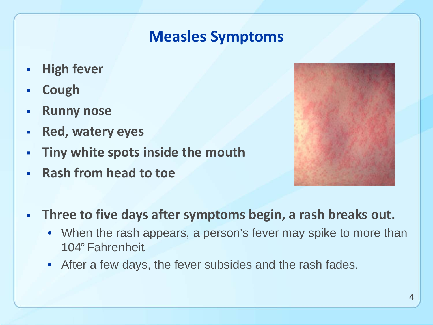#### **Measles Symptoms**

- **High fever**
- **Cough**
- **Runny nose**
- **Red, watery eyes**
- **Tiny white spots inside the mouth**
- **Rash from head to toe**



- **Three to five days after symptoms begin, a rash breaks out.**
	- When the rash appears, a person's fever may spike to more than 104°Fahrenheit.
	- After a few days, the fever subsides and the rash fades.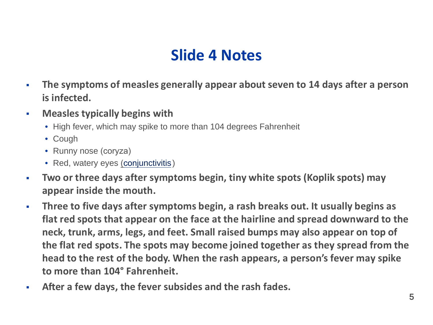#### **Slide 4 Notes**

- $\mathcal{C}^{\mathcal{A}}$ **The symptoms of measles generally appear about seven to 14 days after a person is infected.**
- $\mathcal{L}_{\mathcal{A}}$ **Measles typically begins with**
	- High fever, which may spike to more than 104 degrees Fahrenheit
	- Cough
	- Runny nose (coryza)
	- Red, watery eyes (con[junctivitis\)](https://www.cdc.gov/conjunctivitis/)
- $\mathcal{L}_{\mathcal{A}}$ **Two or three days after symptoms begin, tiny white spots (Koplik spots) may appear inside the mouth.**
- $\mathcal{C}$ **Three to five days after symptoms begin, a rash breaks out. It usually begins as flat red spots that appear on the face at the hairline and spread downward to the neck, trunk, arms, legs, and feet. Small raised bumps may also appear on top of the flat red spots. The spots may become joined together as they spread from the head to the rest of the body. When the rash appears, a person's fever may spike to more than 104° Fahrenheit.**
- $\mathcal{C}$ **After a few days, the fever subsides and the rash fades.**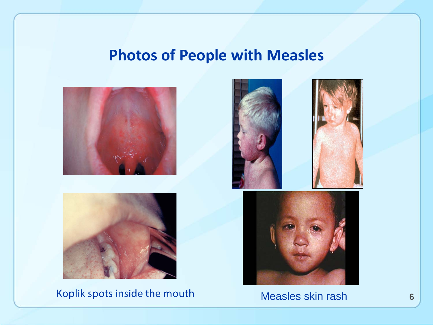#### **Photos of People with Measles**





Koplik spots inside the mouth Measles skin rash 6



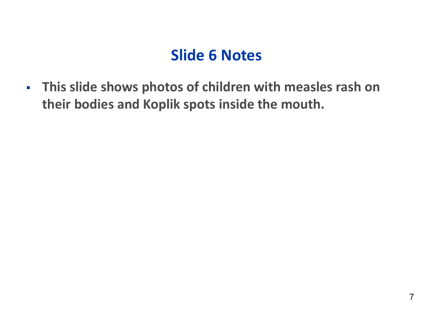#### **Slide 6 Notes**

 **This slide shows photos of children with measles rash on their bodies and Koplik spots inside the mouth.**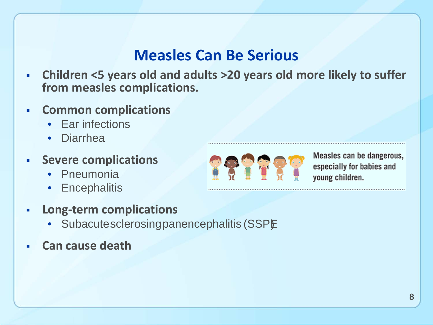#### **Measles Can Be Serious**

- **Children <5 years old and adults >20 years old more likely to suffer from measles complications.**
- **Common complications**
	- Ear infections
	- Diarrhea
- **Severe complications**
	- Pneumonia
	- **Encephalitis**
- **Long-term complications**
	- Subacute sclerosing panencephalitis (SSPE
- **Can cause death**



Measles can be dangerous, especially for babies and young children.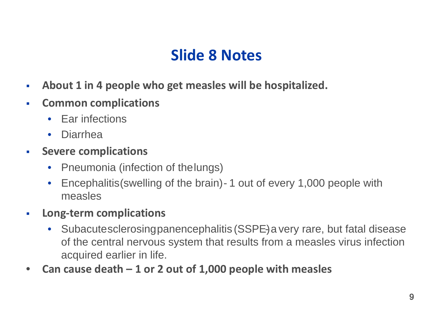#### **Slide 8 Notes**

- **About 1 in 4 people who get measles will be hospitalized.**
- **Common complications**
	- Ear infections
	- Diarrhea
- **Severe complications** 
	- Pneumonia (infection of the lungs)
	- Encephalitis (swelling of the brain) 1 out of every 1,000 people with measles
- **Long-term complications**
	- Subacute sclerosing panencephalitis (SSPE) a very rare, but fatal disease of the central nervous system that results from a measles virus infection acquired earlier in life.
- **Can cause death – 1 or 2 out of 1,000 people with measles**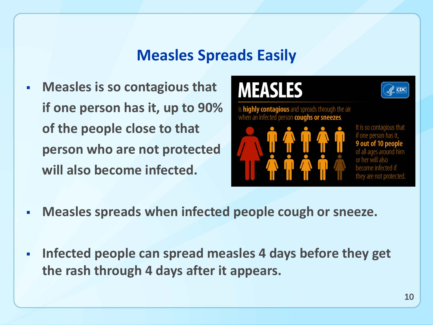#### **Measles Spreads Easily**

 **Measles is so contagious that if one person has it, up to 90% of the people close to that person who are not protected will also become infected.**

## **MEASLES**

is **highly contagious** and spreads through the air when an infected person coughs or sneezes.



It is so contagious that if one person has it they are not protected.

cpc

- **Measles spreads when infected people cough or sneeze.**
- **Infected people can spread measles 4 days before they get the rash through 4 days after it appears.**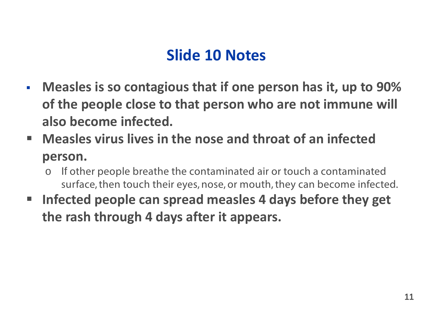#### **Slide 10 Notes**

- **Measles is so contagious that if one person has it, up to 90% of the people close to that person who are not immune will also become infected.**
- **Measles virus lives in the nose and throat of an infected person.**
	- o If other people breathe the contaminated air or touch a contaminated surface, then touch their eyes, nose, or mouth, they can become infected.
- **Infected people can spread measles 4 days before they get the rash through 4 days after it appears.**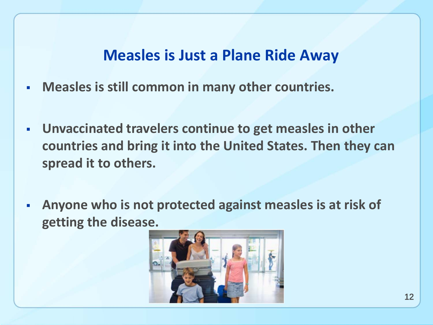#### **Measles is Just a Plane Ride Away**

- **Measles is still common in many other countries.**
- **Unvaccinated travelers continue to get measles in other countries and bring it into the United States. Then they can spread it to others.**
- **Anyone who is not protected against measles is at risk of getting the disease.**

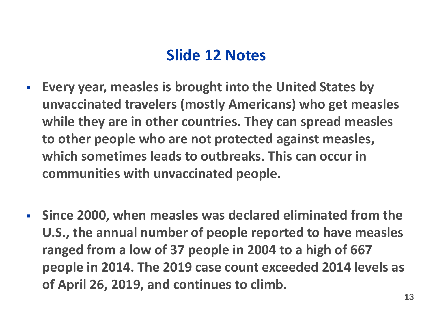#### **Slide 12 Notes**

- **Every year, measles is brought into the United States by unvaccinated travelers (mostly Americans) who get measles while they are in other countries. They can spread measles to other people who are not protected against measles, which sometimes leads to outbreaks. This can occur in communities with unvaccinated people.**
- **Since 2000, when measles was declared eliminated from the U.S., the annual number of people reported to have measles ranged from a low of 37 people in 2004 to a high of 667 people in 2014. The 2019 case count exceeded 2014 levels as of April 26, 2019, and continues to climb.**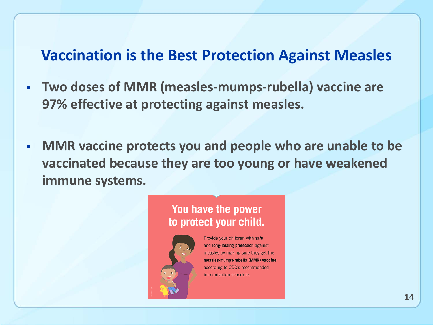#### **Vaccination is the Best Protection Against Measles**

- **Two doses of MMR (measles-mumps-rubella) vaccine are 97% effective at protecting against measles.**
- **MMR vaccine protects you and people who are unable to be vaccinated because they are too young or have weakened immune systems.**

#### You have the power to protect your child.



Provide your children with safe and long-lasting protection against measles by making sure they get the measles-mumps-rubella (MMR) vaccine according to CDC's recommended immunization schedule.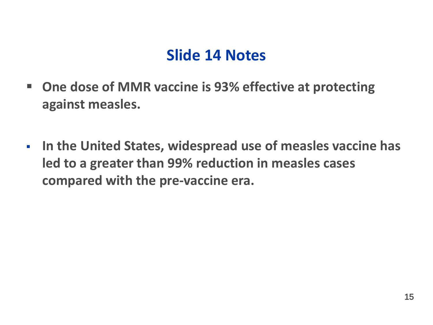#### **Slide 14 Notes**

- **One dose of MMR vaccine is 93% effective at protecting against measles.**
- **In the United States, widespread use of measles vaccine has led to a greater than 99% reduction in measles cases compared with the pre-vaccine era.**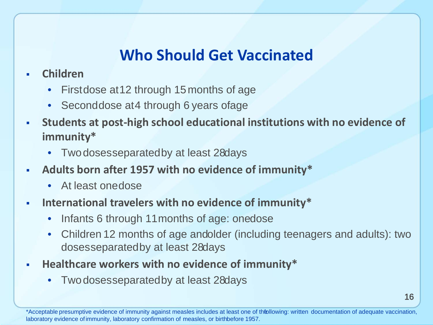#### **Who Should Get Vaccinated**

- **Children**
	- First dose at 12 through 15 months of age
	- Second dose at 4 through 6 years of age
- **Students at post-high school educational institutions with no evidence of immunity\***
	- Two doses separated by at least 28 days
- **Adults born after 1957 with no evidence of immunity\***
	- At least one dose
- **International travelers with no evidence of immunity\***
	- Infants 6 through 11 months of age: onedose
	- Children 12 months of age and older (including teenagers and adults): two doses separated by at least 28 days
- **Healthcare workers with no evidence of immunity\***
	- Two doses separated by at least 28 days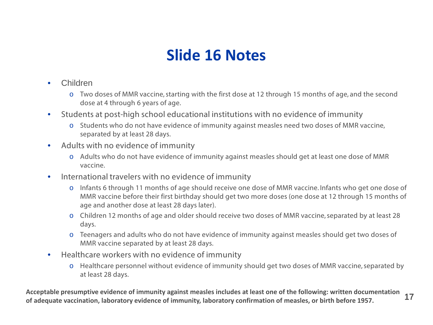#### **Slide 16 Notes**

- Children
	- o Two doses of MMR vaccine, starting with the first dose at 12 through 15 months of age, and the second dose at 4 through 6 years of age.
- Students at post-high school educational institutions with no evidence of immunity
	- o Students who do not have evidence of immunity against measles need two doses of MMR vaccine, separated by at least 28 days.
- Adults with no evidence of immunity
	- o Adults who do not have evidence of immunity against measles should get at least one dose of MMR vaccine.
- International travelers with no evidence of immunity
	- o Infants 6 through 11 months of age should receive one dose of MMR vaccine. Infants who get one dose of MMR vaccine before their first birthday should get two more doses (one dose at 12 through 15 months of age and another dose at least 28 days later).
	- o Children 12 months of age and older should receive two doses of MMR vaccine, separated by at least 28 days.
	- o Teenagers and adults who do not have evidence of immunity against measles should get two doses of MMR vaccine separated by at least 28 days.
- Healthcare workers with no evidence of immunity
	- o Healthcare personnel without evidence of immunity should get two doses of MMR vaccine, separated by at least 28 days.

**Acceptable presumptive evidence of immunity against measles includes at least one of the following: written documentation of adequate vaccination, laboratory evidence of immunity, laboratory confirmation of measles, or birth before 1957.** 17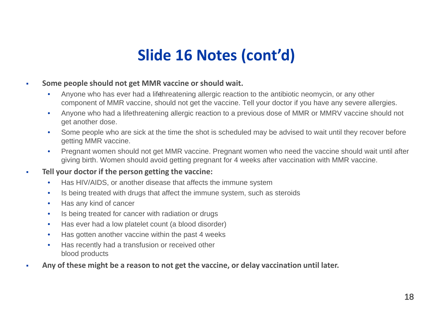### **Slide 16 Notes (cont'd)**

- **Some people should not get MMR vaccine or should wait.**
	- Anyone who has ever had a lifethreatening allergic reaction to the antibiotic neomycin, or any other component of MMR vaccine, should not get the vaccine. Tell your doctor if you have any severe allergies.
	- Anyone who had a lifethreatening allergic reaction to a previous dose of MMR or MMRV vaccine should not get another dose.
	- Some people who are sick at the time the shot is scheduled may be advised to wait until they recover before getting MMR vaccine.
	- Pregnant women should not get MMR vaccine. Pregnant women who need the vaccine should wait until after giving birth. Women should avoid getting pregnant for 4 weeks after vaccination with MMR vaccine.
- **Tell your doctor if the person getting the vaccine:** 
	- Has HIV/AIDS, or another disease that affects the immune system
	- Is being treated with drugs that affect the immune system, such as steroids
	- Has any kind of cancer
	- Is being treated for cancer with radiation or drugs
	- Has ever had a low platelet count (a blood disorder)
	- Has gotten another vaccine within the past 4 weeks
	- Has recently had a transfusion or received other blood products
- **Any of these might be a reason to not get the vaccine, or delay vaccination until later.**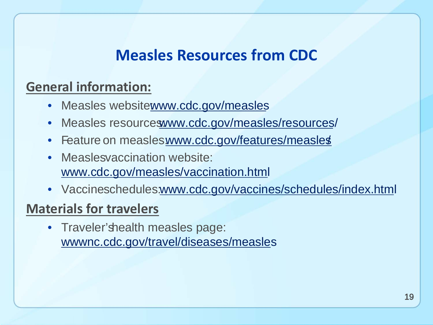#### **Measles Resources from CDC**

#### **General information:**

- Measles websitewww.cdc.gov/measles
- Measles resourceswww.cdc.gov/measles/resources/
- Feature on measleswww.cdc.gov/features/measles
- Measlesvaccination website: [www.cdc.gov/measles/vaccination.html](https://www.cdc.gov/measles/vaccination.html)
- Vaccineschedules.www.cdc.gov/vaccines/schedules/index.html

#### **Materials for travelers**

• Traveler's health measles page: [wwwnc.cdc.gov/travel/diseases/measle](https://wwwnc.cdc.gov/travel/diseases/measles)s